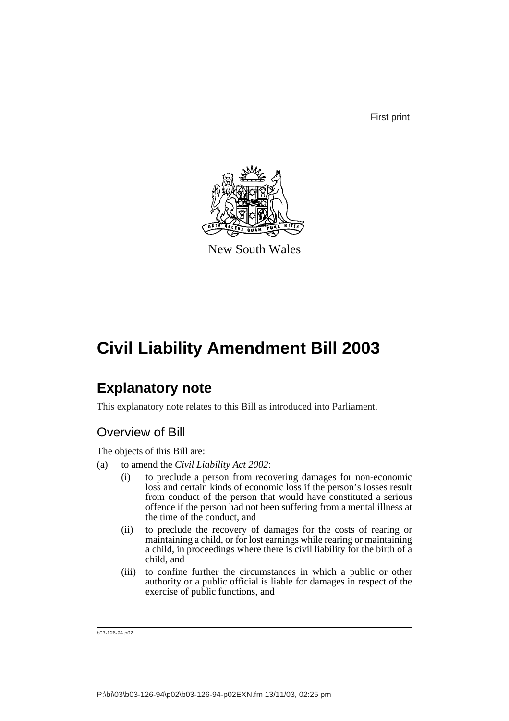First print



New South Wales

# **Civil Liability Amendment Bill 2003**

# **Explanatory note**

This explanatory note relates to this Bill as introduced into Parliament.

# Overview of Bill

The objects of this Bill are:

- (a) to amend the *Civil Liability Act 2002*:
	- (i) to preclude a person from recovering damages for non-economic loss and certain kinds of economic loss if the person's losses result from conduct of the person that would have constituted a serious offence if the person had not been suffering from a mental illness at the time of the conduct, and
	- (ii) to preclude the recovery of damages for the costs of rearing or maintaining a child, or for lost earnings while rearing or maintaining a child, in proceedings where there is civil liability for the birth of a child, and
	- (iii) to confine further the circumstances in which a public or other authority or a public official is liable for damages in respect of the exercise of public functions, and

b03-126-94.p02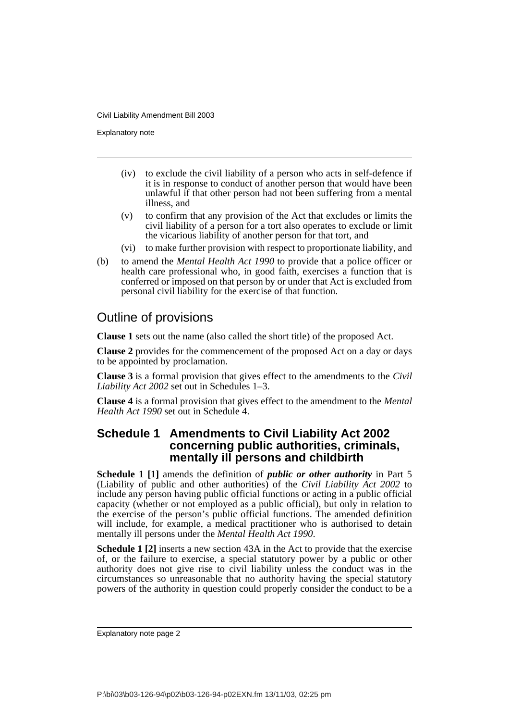Explanatory note

- (iv) to exclude the civil liability of a person who acts in self-defence if it is in response to conduct of another person that would have been unlawful if that other person had not been suffering from a mental illness, and
- (v) to confirm that any provision of the Act that excludes or limits the civil liability of a person for a tort also operates to exclude or limit the vicarious liability of another person for that tort, and
- (vi) to make further provision with respect to proportionate liability, and
- (b) to amend the *Mental Health Act 1990* to provide that a police officer or health care professional who, in good faith, exercises a function that is conferred or imposed on that person by or under that Act is excluded from personal civil liability for the exercise of that function.

## Outline of provisions

**Clause 1** sets out the name (also called the short title) of the proposed Act.

**Clause 2** provides for the commencement of the proposed Act on a day or days to be appointed by proclamation.

**Clause 3** is a formal provision that gives effect to the amendments to the *Civil Liability Act 2002* set out in Schedules 1–3.

**Clause 4** is a formal provision that gives effect to the amendment to the *Mental Health Act 1990* set out in Schedule 4.

#### **Schedule 1 Amendments to Civil Liability Act 2002 concerning public authorities, criminals, mentally ill persons and childbirth**

**Schedule 1 [1]** amends the definition of *public or other authority* in Part 5 (Liability of public and other authorities) of the *Civil Liability Act 2002* to include any person having public official functions or acting in a public official capacity (whether or not employed as a public official), but only in relation to the exercise of the person's public official functions. The amended definition will include, for example, a medical practitioner who is authorised to detain mentally ill persons under the *Mental Health Act 1990*.

**Schedule 1 [2]** inserts a new section 43A in the Act to provide that the exercise of, or the failure to exercise, a special statutory power by a public or other authority does not give rise to civil liability unless the conduct was in the circumstances so unreasonable that no authority having the special statutory powers of the authority in question could properly consider the conduct to be a

Explanatory note page 2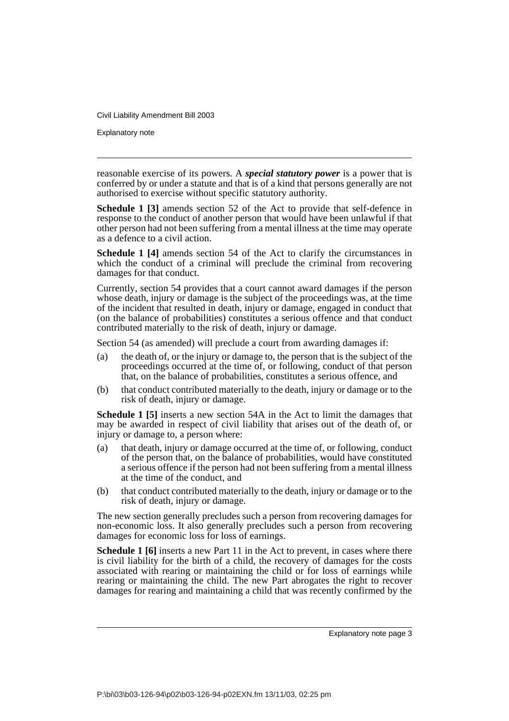Explanatory note

reasonable exercise of its powers. A *special statutory power* is a power that is conferred by or under a statute and that is of a kind that persons generally are not authorised to exercise without specific statutory authority.

**Schedule 1 [3]** amends section 52 of the Act to provide that self-defence in response to the conduct of another person that would have been unlawful if that other person had not been suffering from a mental illness at the time may operate as a defence to a civil action.

**Schedule 1 [4]** amends section 54 of the Act to clarify the circumstances in which the conduct of a criminal will preclude the criminal from recovering damages for that conduct.

Currently, section 54 provides that a court cannot award damages if the person whose death, injury or damage is the subject of the proceedings was, at the time of the incident that resulted in death, injury or damage, engaged in conduct that (on the balance of probabilities) constitutes a serious offence and that conduct contributed materially to the risk of death, injury or damage.

Section 54 (as amended) will preclude a court from awarding damages if:

- (a) the death of, or the injury or damage to, the person that is the subject of the proceedings occurred at the time of, or following, conduct of that person that, on the balance of probabilities, constitutes a serious offence, and
- (b) that conduct contributed materially to the death, injury or damage or to the risk of death, injury or damage.

**Schedule 1 [5]** inserts a new section 54A in the Act to limit the damages that may be awarded in respect of civil liability that arises out of the death of, or injury or damage to, a person where:

- (a) that death, injury or damage occurred at the time of, or following, conduct of the person that, on the balance of probabilities, would have constituted a serious offence if the person had not been suffering from a mental illness at the time of the conduct, and
- (b) that conduct contributed materially to the death, injury or damage or to the risk of death, injury or damage.

The new section generally precludes such a person from recovering damages for non-economic loss. It also generally precludes such a person from recovering damages for economic loss for loss of earnings.

**Schedule 1 [6]** inserts a new Part 11 in the Act to prevent, in cases where there is civil liability for the birth of a child, the recovery of damages for the costs associated with rearing or maintaining the child or for loss of earnings while rearing or maintaining the child. The new Part abrogates the right to recover damages for rearing and maintaining a child that was recently confirmed by the

Explanatory note page 3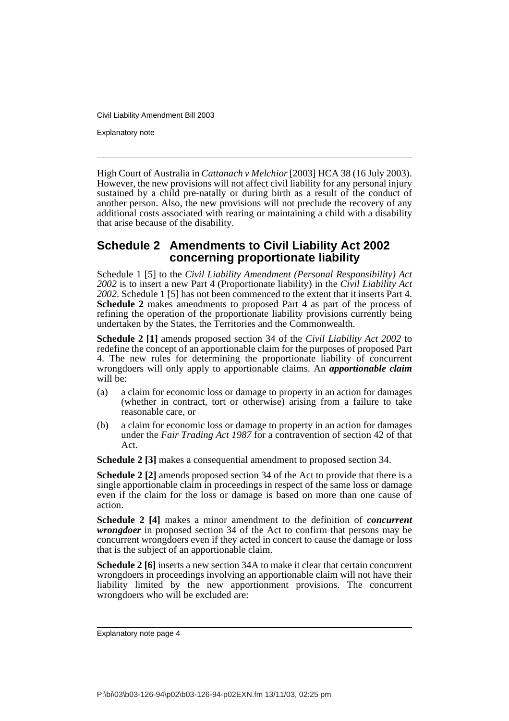Explanatory note

High Court of Australia in *Cattanach v Melchior* [2003] HCA 38 (16 July 2003). However, the new provisions will not affect civil liability for any personal injury sustained by a child pre-natally or during birth as a result of the conduct of another person. Also, the new provisions will not preclude the recovery of any additional costs associated with rearing or maintaining a child with a disability that arise because of the disability.

### **Schedule 2 Amendments to Civil Liability Act 2002 concerning proportionate liability**

Schedule 1 [5] to the *Civil Liability Amendment (Personal Responsibility) Act 2002* is to insert a new Part 4 (Proportionate liability) in the *Civil Liability Act 2002*. Schedule 1 [5] has not been commenced to the extent that it inserts Part 4. **Schedule 2** makes amendments to proposed Part 4 as part of the process of refining the operation of the proportionate liability provisions currently being undertaken by the States, the Territories and the Commonwealth.

**Schedule 2 [1]** amends proposed section 34 of the *Civil Liability Act 2002* to redefine the concept of an apportionable claim for the purposes of proposed Part 4. The new rules for determining the proportionate liability of concurrent wrongdoers will only apply to apportionable claims. An *apportionable claim* will be:

- (a) a claim for economic loss or damage to property in an action for damages (whether in contract, tort or otherwise) arising from a failure to take reasonable care, or
- (b) a claim for economic loss or damage to property in an action for damages under the *Fair Trading Act 1987* for a contravention of section 42 of that Act.

**Schedule 2 [3]** makes a consequential amendment to proposed section 34.

**Schedule 2 [2]** amends proposed section 34 of the Act to provide that there is a single apportionable claim in proceedings in respect of the same loss or damage even if the claim for the loss or damage is based on more than one cause of action.

**Schedule 2 [4]** makes a minor amendment to the definition of *concurrent wrongdoer* in proposed section 34 of the Act to confirm that persons may be concurrent wrongdoers even if they acted in concert to cause the damage or loss that is the subject of an apportionable claim.

**Schedule 2 [6]** inserts a new section 34A to make it clear that certain concurrent wrongdoers in proceedings involving an apportionable claim will not have their liability limited by the new apportionment provisions. The concurrent wrongdoers who will be excluded are:

Explanatory note page 4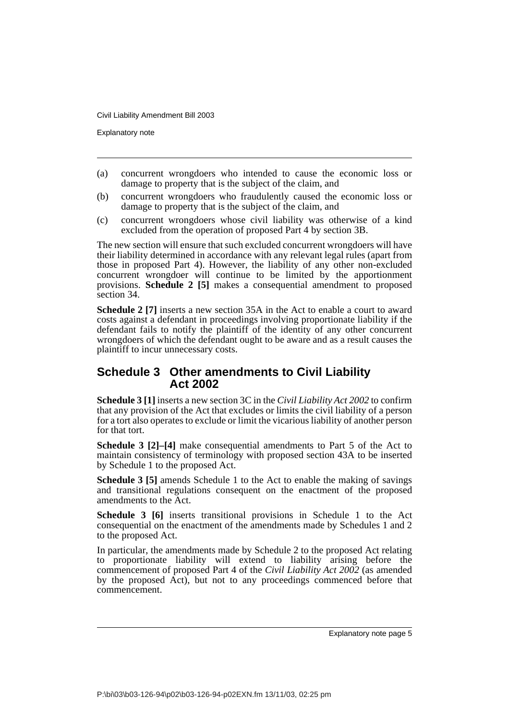Explanatory note

- (a) concurrent wrongdoers who intended to cause the economic loss or damage to property that is the subject of the claim, and
- (b) concurrent wrongdoers who fraudulently caused the economic loss or damage to property that is the subject of the claim, and
- (c) concurrent wrongdoers whose civil liability was otherwise of a kind excluded from the operation of proposed Part 4 by section 3B.

The new section will ensure that such excluded concurrent wrongdoers will have their liability determined in accordance with any relevant legal rules (apart from those in proposed Part 4). However, the liability of any other non-excluded concurrent wrongdoer will continue to be limited by the apportionment provisions. **Schedule 2** [5] makes a consequential amendment to proposed section 34.

**Schedule 2 [7]** inserts a new section 35A in the Act to enable a court to award costs against a defendant in proceedings involving proportionate liability if the defendant fails to notify the plaintiff of the identity of any other concurrent wrongdoers of which the defendant ought to be aware and as a result causes the plaintiff to incur unnecessary costs.

### **Schedule 3 Other amendments to Civil Liability Act 2002**

**Schedule 3 [1]** inserts a new section 3C in the *Civil Liability Act 2002* to confirm that any provision of the Act that excludes or limits the civil liability of a person for a tort also operates to exclude or limit the vicarious liability of another person for that tort.

**Schedule 3 [2]–[4]** make consequential amendments to Part 5 of the Act to maintain consistency of terminology with proposed section 43A to be inserted by Schedule 1 to the proposed Act.

**Schedule 3 [5]** amends Schedule 1 to the Act to enable the making of savings and transitional regulations consequent on the enactment of the proposed amendments to the Act.

**Schedule 3 [6]** inserts transitional provisions in Schedule 1 to the Act consequential on the enactment of the amendments made by Schedules 1 and 2 to the proposed Act.

In particular, the amendments made by Schedule 2 to the proposed Act relating to proportionate liability will extend to liability arising before the commencement of proposed Part 4 of the *Civil Liability Act 2002* (as amended by the proposed Act), but not to any proceedings commenced before that commencement.

Explanatory note page 5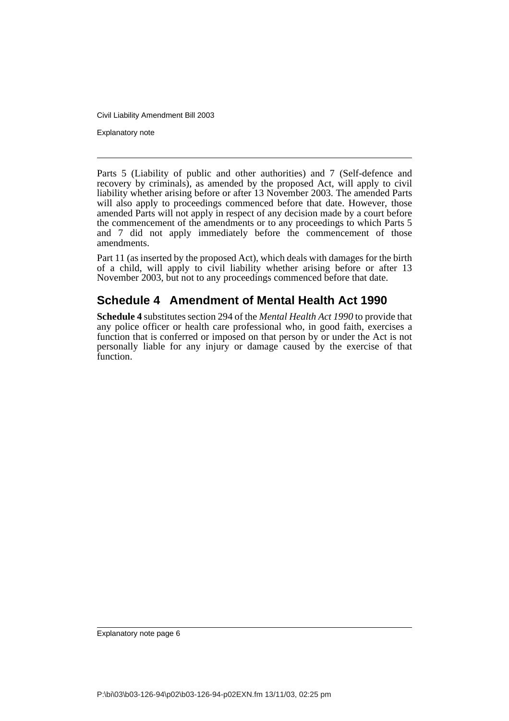Explanatory note

Parts 5 (Liability of public and other authorities) and 7 (Self-defence and recovery by criminals), as amended by the proposed Act, will apply to civil liability whether arising before or after 13 November 2003. The amended Parts will also apply to proceedings commenced before that date. However, those amended Parts will not apply in respect of any decision made by a court before the commencement of the amendments or to any proceedings to which Parts 5 and 7 did not apply immediately before the commencement of those amendments.

Part 11 (as inserted by the proposed Act), which deals with damages for the birth of a child, will apply to civil liability whether arising before or after 13 November 2003, but not to any proceedings commenced before that date.

## **Schedule 4 Amendment of Mental Health Act 1990**

**Schedule 4** substitutes section 294 of the *Mental Health Act 1990* to provide that any police officer or health care professional who, in good faith, exercises a function that is conferred or imposed on that person by or under the Act is not personally liable for any injury or damage caused by the exercise of that function.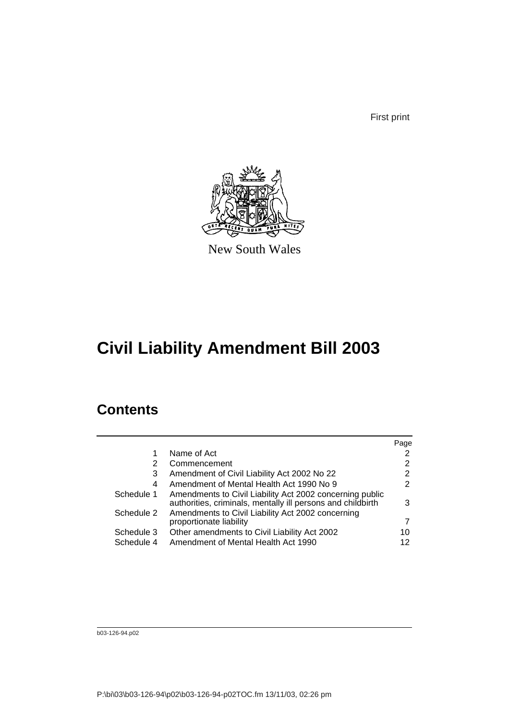First print



New South Wales

# **Civil Liability Amendment Bill 2003**

# **Contents**

|            |                                                                                                                         | Page |
|------------|-------------------------------------------------------------------------------------------------------------------------|------|
|            | Name of Act                                                                                                             |      |
| 2          | Commencement                                                                                                            | 2    |
| 3          | Amendment of Civil Liability Act 2002 No 22                                                                             | 2    |
| 4          | Amendment of Mental Health Act 1990 No 9                                                                                | 2    |
| Schedule 1 | Amendments to Civil Liability Act 2002 concerning public<br>authorities, criminals, mentally ill persons and childbirth | 3    |
| Schedule 2 | Amendments to Civil Liability Act 2002 concerning                                                                       |      |
|            | proportionate liability                                                                                                 |      |
| Schedule 3 | Other amendments to Civil Liability Act 2002                                                                            | 10   |
| Schedule 4 | Amendment of Mental Health Act 1990                                                                                     | 12   |

b03-126-94.p02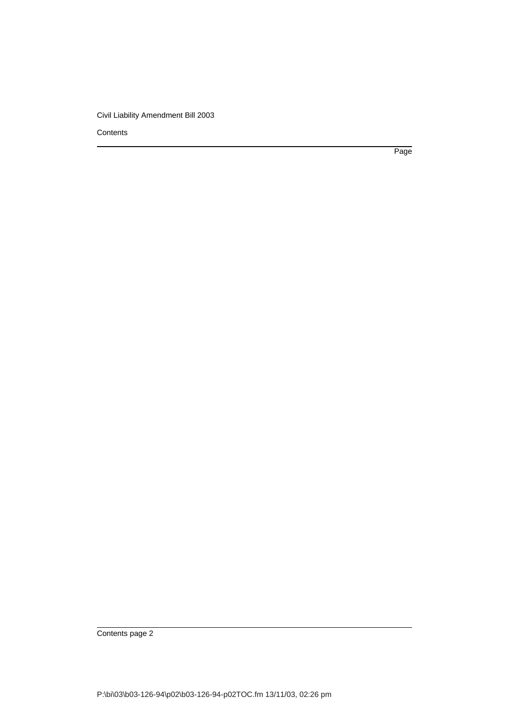**Contents** 

Page

Contents page 2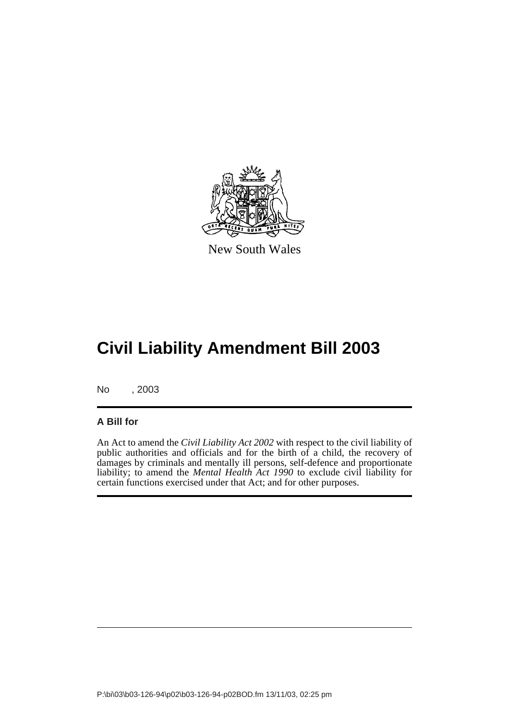

New South Wales

# **Civil Liability Amendment Bill 2003**

No , 2003

#### **A Bill for**

An Act to amend the *Civil Liability Act 2002* with respect to the civil liability of public authorities and officials and for the birth of a child, the recovery of damages by criminals and mentally ill persons, self-defence and proportionate liability; to amend the *Mental Health Act 1990* to exclude civil liability for certain functions exercised under that Act; and for other purposes.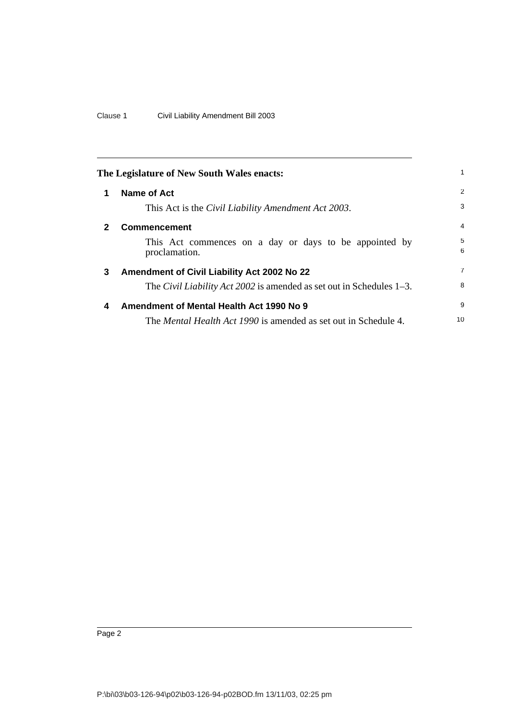<span id="page-9-3"></span><span id="page-9-2"></span><span id="page-9-1"></span><span id="page-9-0"></span>

|             | The Legislature of New South Wales enacts:                                     |        |
|-------------|--------------------------------------------------------------------------------|--------|
| 1           | Name of Act                                                                    | 2      |
|             | This Act is the <i>Civil Liability Amendment Act 2003</i> .                    | 3      |
| $\mathbf 2$ | <b>Commencement</b>                                                            | 4      |
|             | This Act commences on a day or days to be appointed by<br>proclamation.        | 5<br>6 |
| 3           | Amendment of Civil Liability Act 2002 No 22                                    | 7      |
|             | The <i>Civil Liability Act 2002</i> is amended as set out in Schedules $1-3$ . | 8      |
| 4           | Amendment of Mental Health Act 1990 No 9                                       | 9      |
|             | The <i>Mental Health Act 1990</i> is amended as set out in Schedule 4.         | 10     |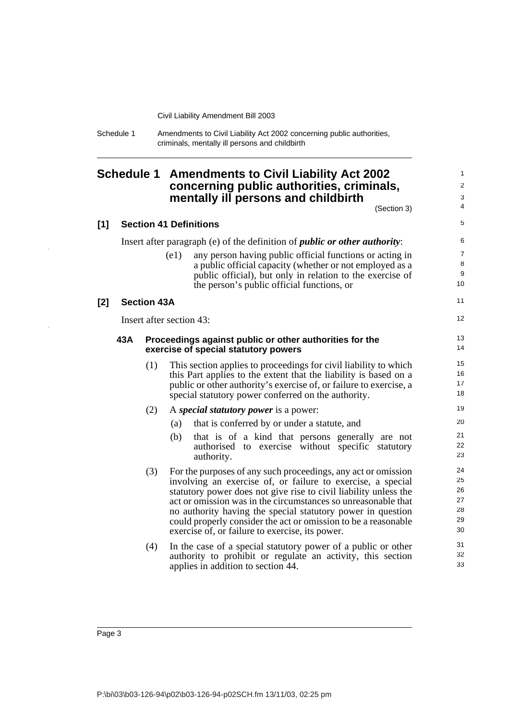Schedule 1 Amendments to Civil Liability Act 2002 concerning public authorities, criminals, mentally ill persons and childbirth

### <span id="page-10-0"></span>**Schedule 1 Amendments to Civil Liability Act 2002 concerning public authorities, criminals, mentally ill persons and childbirth**

(Section 3)

| [1] | <b>Section 41 Definitions</b> |                    |                          |                                                                                                                                                                                                                                                                                                                                                                                                                                                       | 5 |                                        |
|-----|-------------------------------|--------------------|--------------------------|-------------------------------------------------------------------------------------------------------------------------------------------------------------------------------------------------------------------------------------------------------------------------------------------------------------------------------------------------------------------------------------------------------------------------------------------------------|---|----------------------------------------|
|     |                               |                    |                          | Insert after paragraph (e) of the definition of <i>public or other authority</i> :                                                                                                                                                                                                                                                                                                                                                                    |   | 6                                      |
|     |                               |                    | (e1)                     | any person having public official functions or acting in<br>a public official capacity (whether or not employed as a<br>public official), but only in relation to the exercise of<br>the person's public official functions, or                                                                                                                                                                                                                       |   | $\overline{7}$<br>8<br>9<br>10         |
| [2] |                               | <b>Section 43A</b> |                          |                                                                                                                                                                                                                                                                                                                                                                                                                                                       |   | 11                                     |
|     |                               |                    | Insert after section 43: |                                                                                                                                                                                                                                                                                                                                                                                                                                                       |   | 12                                     |
|     | 43A                           |                    |                          | Proceedings against public or other authorities for the<br>exercise of special statutory powers                                                                                                                                                                                                                                                                                                                                                       |   | 13<br>14                               |
|     |                               | (1)                |                          | This section applies to proceedings for civil liability to which<br>this Part applies to the extent that the liability is based on a<br>public or other authority's exercise of, or failure to exercise, a<br>special statutory power conferred on the authority.                                                                                                                                                                                     |   | 15<br>16<br>17<br>18                   |
|     |                               | (2)                |                          | A <i>special statutory power</i> is a power:                                                                                                                                                                                                                                                                                                                                                                                                          |   | 19                                     |
|     |                               |                    | (a)<br>(b)<br>authority. | that is conferred by or under a statute, and<br>that is of a kind that persons generally are not<br>authorised to exercise without specific statutory                                                                                                                                                                                                                                                                                                 |   | 20<br>21<br>22<br>23                   |
|     |                               | (3)                |                          | For the purposes of any such proceedings, any act or omission<br>involving an exercise of, or failure to exercise, a special<br>statutory power does not give rise to civil liability unless the<br>act or omission was in the circumstances so unreasonable that<br>no authority having the special statutory power in question<br>could properly consider the act or omission to be a reasonable<br>exercise of, or failure to exercise, its power. |   | 24<br>25<br>26<br>27<br>28<br>29<br>30 |
|     |                               | (4)                |                          | In the case of a special statutory power of a public or other<br>authority to prohibit or regulate an activity, this section<br>applies in addition to section 44.                                                                                                                                                                                                                                                                                    |   | 31<br>32<br>33                         |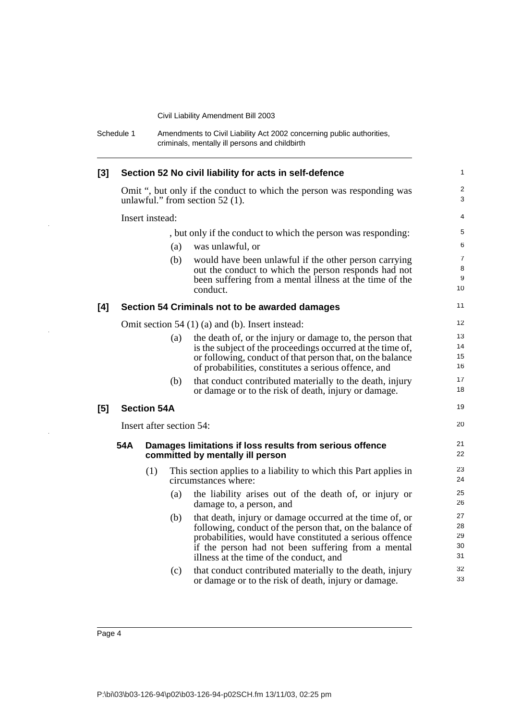Schedule 1 Amendments to Civil Liability Act 2002 concerning public authorities, criminals, mentally ill persons and childbirth

| [3] |                          |                    |     | Section 52 No civil liability for acts in self-defence                                                                                                                                                                                                                           | $\mathbf{1}$                   |  |
|-----|--------------------------|--------------------|-----|----------------------------------------------------------------------------------------------------------------------------------------------------------------------------------------------------------------------------------------------------------------------------------|--------------------------------|--|
|     |                          |                    |     | Omit ", but only if the conduct to which the person was responding was<br>unlawful." from section $52(1)$ .                                                                                                                                                                      | 2<br>3                         |  |
|     |                          | Insert instead:    |     |                                                                                                                                                                                                                                                                                  | 4                              |  |
|     |                          |                    |     | , but only if the conduct to which the person was responding:                                                                                                                                                                                                                    | 5                              |  |
|     |                          |                    | (a) | was unlawful, or                                                                                                                                                                                                                                                                 | 6                              |  |
|     |                          |                    | (b) | would have been unlawful if the other person carrying<br>out the conduct to which the person responds had not<br>been suffering from a mental illness at the time of the<br>conduct.                                                                                             | $\overline{7}$<br>8<br>9<br>10 |  |
| [4] |                          |                    |     | Section 54 Criminals not to be awarded damages                                                                                                                                                                                                                                   | 11                             |  |
|     |                          |                    |     | Omit section 54 $(1)$ (a) and (b). Insert instead:                                                                                                                                                                                                                               | 12                             |  |
|     |                          |                    | (a) | the death of, or the injury or damage to, the person that<br>is the subject of the proceedings occurred at the time of,<br>or following, conduct of that person that, on the balance<br>of probabilities, constitutes a serious offence, and                                     | 13<br>14<br>15<br>16           |  |
|     |                          |                    | (b) | that conduct contributed materially to the death, injury<br>or damage or to the risk of death, injury or damage.                                                                                                                                                                 | 17<br>18                       |  |
| [5] |                          | <b>Section 54A</b> |     |                                                                                                                                                                                                                                                                                  | 19                             |  |
|     | Insert after section 54: |                    |     |                                                                                                                                                                                                                                                                                  |                                |  |
|     | 54A                      |                    |     | Damages limitations if loss results from serious offence<br>committed by mentally ill person                                                                                                                                                                                     | 21<br>22                       |  |
|     |                          | (1)                |     | This section applies to a liability to which this Part applies in<br>circumstances where:                                                                                                                                                                                        | 23<br>24                       |  |
|     |                          |                    | (a) | the liability arises out of the death of, or injury or<br>damage to, a person, and                                                                                                                                                                                               | 25<br>26                       |  |
|     |                          |                    | (b) | that death, injury or damage occurred at the time of, or<br>following, conduct of the person that, on the balance of<br>probabilities, would have constituted a serious offence<br>if the person had not been suffering from a mental<br>illness at the time of the conduct, and | 27<br>28<br>29<br>30<br>31     |  |
|     |                          |                    | (c) | that conduct contributed materially to the death, injury<br>or damage or to the risk of death, injury or damage.                                                                                                                                                                 | 32<br>33                       |  |

l,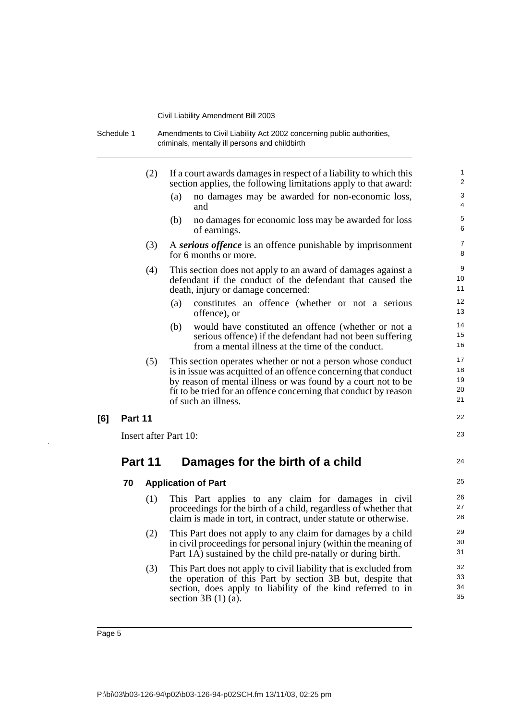Schedule 1 Amendments to Civil Liability Act 2002 concerning public authorities, criminals, mentally ill persons and childbirth

|         | (2)     | If a court awards damages in respect of a liability to which this<br>section applies, the following limitations apply to that award:                                                                                                                                                       | $\mathbf{1}$<br>$\overline{2}$ |
|---------|---------|--------------------------------------------------------------------------------------------------------------------------------------------------------------------------------------------------------------------------------------------------------------------------------------------|--------------------------------|
|         |         | (a)<br>no damages may be awarded for non-economic loss,<br>and                                                                                                                                                                                                                             | 3<br>$\overline{4}$            |
|         |         | no damages for economic loss may be awarded for loss<br>(b)<br>of earnings.                                                                                                                                                                                                                | 5<br>6                         |
|         | (3)     | A serious offence is an offence punishable by imprisonment<br>for 6 months or more.                                                                                                                                                                                                        | $\overline{7}$<br>8            |
|         | (4)     | This section does not apply to an award of damages against a<br>defendant if the conduct of the defendant that caused the<br>death, injury or damage concerned:                                                                                                                            | 9<br>10<br>11                  |
|         |         | (a)<br>constitutes an offence (whether or not a serious<br>offence), or                                                                                                                                                                                                                    | 12<br>13                       |
|         |         | would have constituted an offence (whether or not a<br>(b)<br>serious offence) if the defendant had not been suffering<br>from a mental illness at the time of the conduct.                                                                                                                | 14<br>15<br>16                 |
|         | (5)     | This section operates whether or not a person whose conduct<br>is in issue was acquitted of an offence concerning that conduct<br>by reason of mental illness or was found by a court not to be<br>fit to be tried for an offence concerning that conduct by reason<br>of such an illness. | 17<br>18<br>19<br>20<br>21     |
| Part 11 |         |                                                                                                                                                                                                                                                                                            | 22                             |
|         |         | Insert after Part 10:                                                                                                                                                                                                                                                                      | 23                             |
|         | Part 11 | Damages for the birth of a child                                                                                                                                                                                                                                                           | 24                             |
| 70      |         | <b>Application of Part</b>                                                                                                                                                                                                                                                                 | 25                             |
|         | (1)     | This Part applies to any claim for damages in civil<br>proceedings for the birth of a child, regardless of whether that<br>claim is made in tort, in contract, under statute or otherwise.                                                                                                 | 26<br>27<br>28                 |
|         | (2)     | This Part does not apply to any claim for damages by a child<br>in civil proceedings for personal injury (within the meaning of<br>Part 1A) sustained by the child pre-natally or during birth.                                                                                            | 29<br>30<br>31                 |
|         | (3)     | This Part does not apply to civil liability that is excluded from<br>the operation of this Part by section 3B but, despite that<br>section does apply to liability of the kind referred to in                                                                                              | 32<br>33<br>34                 |

section, does apply to liability of the kind referred to in

35

**[6]** 

section 3B (1) (a).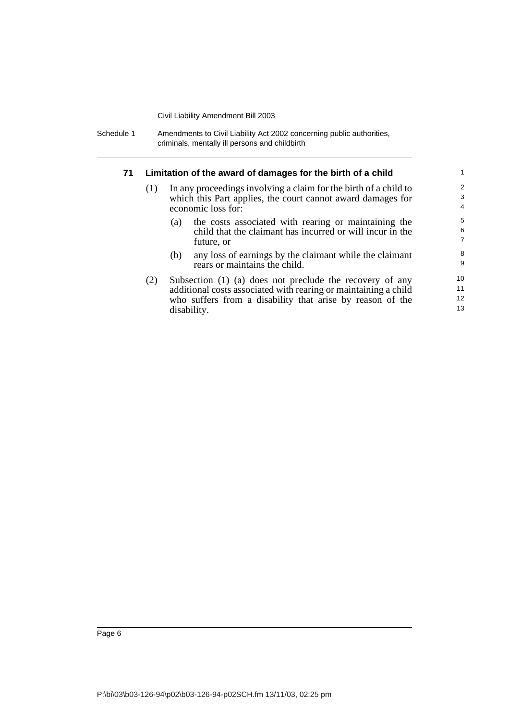Schedule 1 Amendments to Civil Liability Act 2002 concerning public authorities, criminals, mentally ill persons and childbirth

#### **71 Limitation of the award of damages for the birth of a child**

- (1) In any proceedings involving a claim for the birth of a child to which this Part applies, the court cannot award damages for economic loss for:
	- (a) the costs associated with rearing or maintaining the child that the claimant has incurred or will incur in the future, or

- (b) any loss of earnings by the claimant while the claimant rears or maintains the child.
- (2) Subsection (1) (a) does not preclude the recovery of any additional costs associated with rearing or maintaining a child who suffers from a disability that arise by reason of the disability.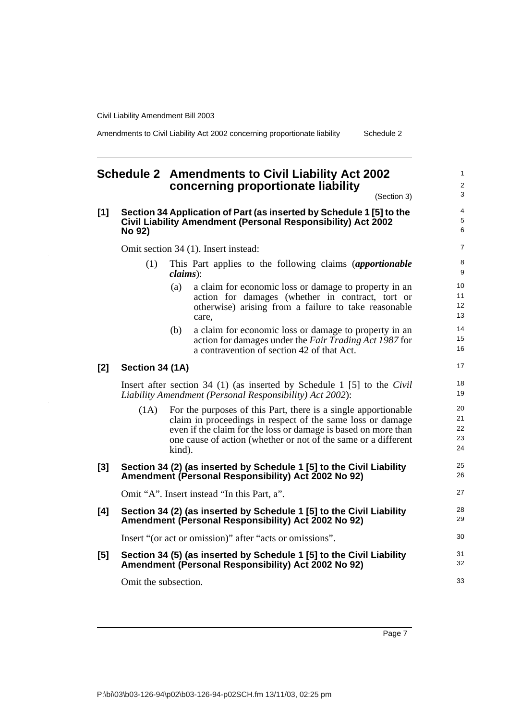Amendments to Civil Liability Act 2002 concerning proportionate liability Schedule 2

### <span id="page-14-0"></span>**Schedule 2 Amendments to Civil Liability Act 2002 concerning proportionate liability**

(Section 3)

25 26

31 32

33

#### **[1] Section 34 Application of Part (as inserted by Schedule 1 [5] to the Civil Liability Amendment (Personal Responsibility) Act 2002 No 92)**

Omit section 34 (1). Insert instead:

- (1) This Part applies to the following claims (*apportionable claims*):
	- (a) a claim for economic loss or damage to property in an action for damages (whether in contract, tort or otherwise) arising from a failure to take reasonable care,
	- (b) a claim for economic loss or damage to property in an action for damages under the *Fair Trading Act 1987* for a contravention of section 42 of that Act.

#### **[2] Section 34 (1A)**

Insert after section 34 (1) (as inserted by Schedule 1 [5] to the *Civil Liability Amendment (Personal Responsibility) Act 2002*):

(1A) For the purposes of this Part, there is a single apportionable claim in proceedings in respect of the same loss or damage even if the claim for the loss or damage is based on more than one cause of action (whether or not of the same or a different kind).

#### **[3] Section 34 (2) (as inserted by Schedule 1 [5] to the Civil Liability Amendment (Personal Responsibility) Act 2002 No 92)**

Omit "A". Insert instead "In this Part, a".

**[4] Section 34 (2) (as inserted by Schedule 1 [5] to the Civil Liability Amendment (Personal Responsibility) Act 2002 No 92)**

Insert "(or act or omission)" after "acts or omissions".

**[5] Section 34 (5) (as inserted by Schedule 1 [5] to the Civil Liability Amendment (Personal Responsibility) Act 2002 No 92)**

Omit the subsection.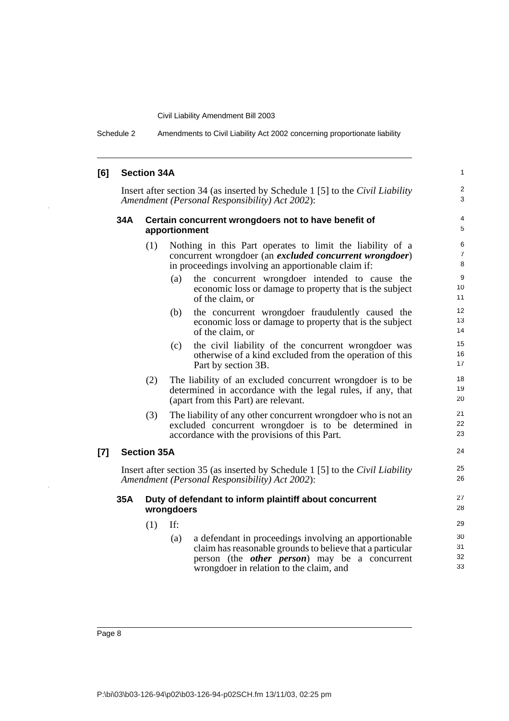Schedule 2 Amendments to Civil Liability Act 2002 concerning proportionate liability

|                                                                                                                                 |     |     |                                                                                                                                                                                                                        | 1                                                                                                                                                                                                                                                                                                                                                                                                                                                                                                                                                                                                                                                                                                                                                                                                             |
|---------------------------------------------------------------------------------------------------------------------------------|-----|-----|------------------------------------------------------------------------------------------------------------------------------------------------------------------------------------------------------------------------|---------------------------------------------------------------------------------------------------------------------------------------------------------------------------------------------------------------------------------------------------------------------------------------------------------------------------------------------------------------------------------------------------------------------------------------------------------------------------------------------------------------------------------------------------------------------------------------------------------------------------------------------------------------------------------------------------------------------------------------------------------------------------------------------------------------|
|                                                                                                                                 |     |     |                                                                                                                                                                                                                        | $\overline{\mathbf{c}}$<br>3                                                                                                                                                                                                                                                                                                                                                                                                                                                                                                                                                                                                                                                                                                                                                                                  |
| 34A                                                                                                                             |     |     |                                                                                                                                                                                                                        | 4<br>5                                                                                                                                                                                                                                                                                                                                                                                                                                                                                                                                                                                                                                                                                                                                                                                                        |
|                                                                                                                                 | (1) |     |                                                                                                                                                                                                                        | 6<br>7<br>8                                                                                                                                                                                                                                                                                                                                                                                                                                                                                                                                                                                                                                                                                                                                                                                                   |
|                                                                                                                                 |     | (a) | the concurrent wrongdoer intended to cause the<br>economic loss or damage to property that is the subject<br>of the claim, or                                                                                          | 9<br>10<br>11                                                                                                                                                                                                                                                                                                                                                                                                                                                                                                                                                                                                                                                                                                                                                                                                 |
|                                                                                                                                 |     | (b) | the concurrent wrongdoer fraudulently caused the<br>economic loss or damage to property that is the subject<br>of the claim, or                                                                                        | 12<br>13<br>14                                                                                                                                                                                                                                                                                                                                                                                                                                                                                                                                                                                                                                                                                                                                                                                                |
|                                                                                                                                 |     | (c) | the civil liability of the concurrent wrongdoer was<br>otherwise of a kind excluded from the operation of this<br>Part by section 3B.                                                                                  | 15<br>16<br>17                                                                                                                                                                                                                                                                                                                                                                                                                                                                                                                                                                                                                                                                                                                                                                                                |
|                                                                                                                                 | (2) |     |                                                                                                                                                                                                                        | 18<br>19<br>20                                                                                                                                                                                                                                                                                                                                                                                                                                                                                                                                                                                                                                                                                                                                                                                                |
|                                                                                                                                 | (3) |     |                                                                                                                                                                                                                        | 21<br>22<br>23                                                                                                                                                                                                                                                                                                                                                                                                                                                                                                                                                                                                                                                                                                                                                                                                |
|                                                                                                                                 |     |     |                                                                                                                                                                                                                        | 24                                                                                                                                                                                                                                                                                                                                                                                                                                                                                                                                                                                                                                                                                                                                                                                                            |
| Insert after section 35 (as inserted by Schedule 1 [5] to the Civil Liability<br>Amendment (Personal Responsibility) Act 2002): |     |     |                                                                                                                                                                                                                        |                                                                                                                                                                                                                                                                                                                                                                                                                                                                                                                                                                                                                                                                                                                                                                                                               |
| 35A                                                                                                                             |     |     |                                                                                                                                                                                                                        | 27<br>28                                                                                                                                                                                                                                                                                                                                                                                                                                                                                                                                                                                                                                                                                                                                                                                                      |
|                                                                                                                                 | (1) | If: |                                                                                                                                                                                                                        | 29                                                                                                                                                                                                                                                                                                                                                                                                                                                                                                                                                                                                                                                                                                                                                                                                            |
|                                                                                                                                 |     | (a) | a defendant in proceedings involving an apportionable<br>claim has reasonable grounds to believe that a particular<br>person (the <i>other person</i> ) may be a concurrent<br>wrongdoer in relation to the claim, and | 30<br>31<br>32<br>33                                                                                                                                                                                                                                                                                                                                                                                                                                                                                                                                                                                                                                                                                                                                                                                          |
|                                                                                                                                 |     |     | <b>Section 34A</b><br><b>Section 35A</b>                                                                                                                                                                               | Insert after section 34 (as inserted by Schedule 1 [5] to the Civil Liability<br>Amendment (Personal Responsibility) Act 2002):<br>Certain concurrent wrongdoers not to have benefit of<br>apportionment<br>Nothing in this Part operates to limit the liability of a<br>concurrent wrongdoer (an excluded concurrent wrongdoer)<br>in proceedings involving an apportionable claim if:<br>The liability of an excluded concurrent wrongdoer is to be<br>determined in accordance with the legal rules, if any, that<br>(apart from this Part) are relevant.<br>The liability of any other concurrent wrongdoer who is not an<br>excluded concurrent wrongdoer is to be determined in<br>accordance with the provisions of this Part.<br>Duty of defendant to inform plaintiff about concurrent<br>wrongdoers |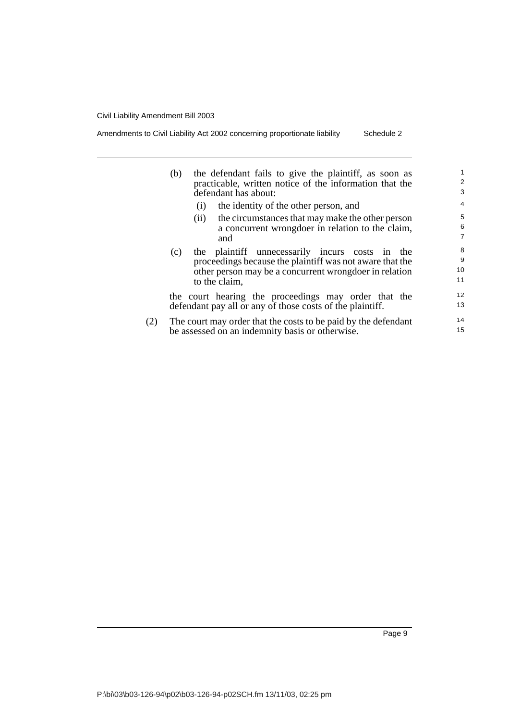Amendments to Civil Liability Act 2002 concerning proportionate liability Schedule 2

|     | (b)                                                            | the defendant fails to give the plaintiff, as soon as     | 1              |  |  |  |
|-----|----------------------------------------------------------------|-----------------------------------------------------------|----------------|--|--|--|
|     |                                                                | practicable, written notice of the information that the   | $\overline{2}$ |  |  |  |
|     |                                                                | defendant has about:                                      | 3              |  |  |  |
|     |                                                                | the identity of the other person, and<br>(i)              | $\overline{4}$ |  |  |  |
|     |                                                                | the circumstances that may make the other person<br>(ii)  | 5              |  |  |  |
|     |                                                                | a concurrent wrongdoer in relation to the claim,          | 6              |  |  |  |
|     |                                                                | and                                                       | $\overline{7}$ |  |  |  |
|     | (c)                                                            | the plaintiff unnecessarily incurs costs in the           | 8              |  |  |  |
|     |                                                                | proceedings because the plaintiff was not aware that the  | 9              |  |  |  |
|     |                                                                | other person may be a concurrent wrongdoer in relation    | 10             |  |  |  |
|     |                                                                | to the claim,                                             | 11             |  |  |  |
|     |                                                                | the court hearing the proceedings may order that the      | 12             |  |  |  |
|     |                                                                | defendant pay all or any of those costs of the plaintiff. | 13             |  |  |  |
| (2) | The court may order that the costs to be paid by the defendant |                                                           |                |  |  |  |
|     |                                                                | be assessed on an indemnity basis or otherwise.           | 15             |  |  |  |
|     |                                                                |                                                           |                |  |  |  |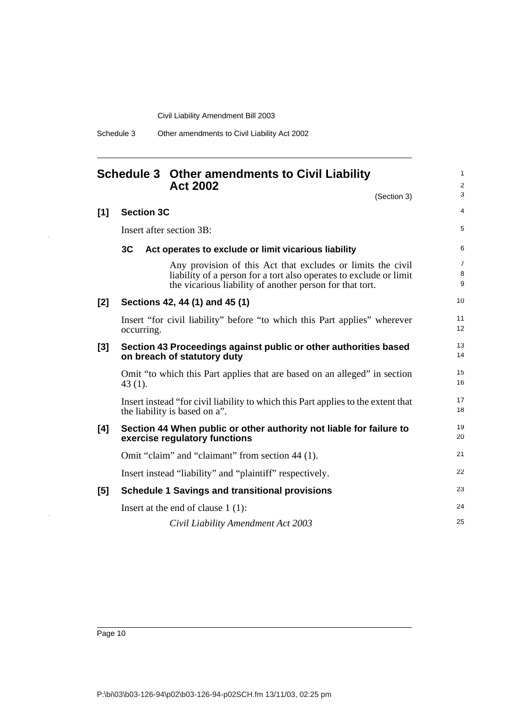Schedule 3 Other amendments to Civil Liability Act 2002

<span id="page-17-0"></span>

|       |                   | <b>Schedule 3 Other amendments to Civil Liability</b><br><b>Act 2002</b><br>(Section 3)                                                                                                       |
|-------|-------------------|-----------------------------------------------------------------------------------------------------------------------------------------------------------------------------------------------|
| $[1]$ | <b>Section 3C</b> |                                                                                                                                                                                               |
|       |                   | Insert after section 3B:                                                                                                                                                                      |
|       | 3C                | Act operates to exclude or limit vicarious liability                                                                                                                                          |
|       |                   | Any provision of this Act that excludes or limits the civil<br>liability of a person for a tort also operates to exclude or limit<br>the vicarious liability of another person for that tort. |
| $[2]$ |                   | Sections 42, 44 (1) and 45 (1)                                                                                                                                                                |
|       | occurring.        | Insert "for civil liability" before "to which this Part applies" wherever                                                                                                                     |
| [3]   |                   | Section 43 Proceedings against public or other authorities based<br>on breach of statutory duty                                                                                               |
|       | $43(1)$ .         | Omit "to which this Part applies that are based on an alleged" in section                                                                                                                     |
|       |                   | Insert instead "for civil liability to which this Part applies to the extent that<br>the liability is based on a".                                                                            |
| [4]   |                   | Section 44 When public or other authority not liable for failure to<br>exercise regulatory functions                                                                                          |
|       |                   | Omit "claim" and "claimant" from section 44 (1).                                                                                                                                              |
|       |                   | Insert instead "liability" and "plaintiff" respectively.                                                                                                                                      |
| [5]   |                   | <b>Schedule 1 Savings and transitional provisions</b>                                                                                                                                         |
|       |                   | Insert at the end of clause $1(1)$ :                                                                                                                                                          |
|       |                   | Civil Liability Amendment Act 2003                                                                                                                                                            |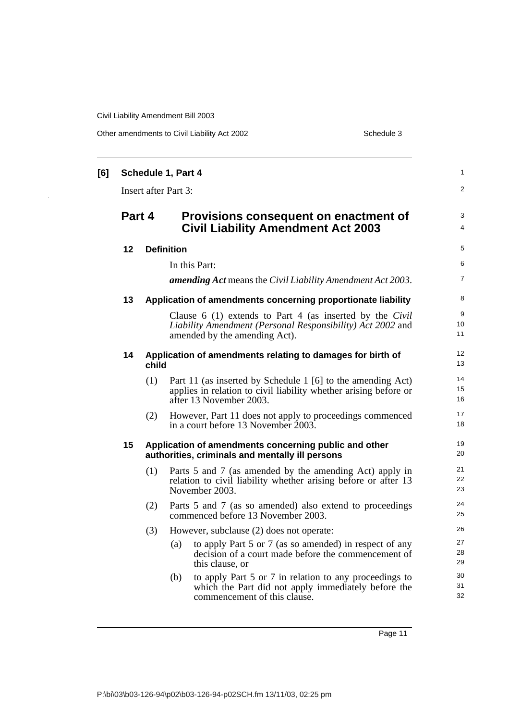Other amendments to Civil Liability Act 2002 Schedule 3

| [6] | Schedule 1, Part 4   |       |                                                                                                                                                            |                |  |
|-----|----------------------|-------|------------------------------------------------------------------------------------------------------------------------------------------------------------|----------------|--|
|     | Insert after Part 3: |       |                                                                                                                                                            |                |  |
|     | Part 4               |       | Provisions consequent on enactment of<br><b>Civil Liability Amendment Act 2003</b>                                                                         | 3<br>4         |  |
|     | 12                   |       | <b>Definition</b>                                                                                                                                          | 5              |  |
|     |                      |       | In this Part:                                                                                                                                              | 6              |  |
|     |                      |       | <b>amending Act</b> means the Civil Liability Amendment Act 2003.                                                                                          | $\overline{7}$ |  |
|     | 13                   |       | Application of amendments concerning proportionate liability                                                                                               | 8              |  |
|     |                      |       | Clause 6 (1) extends to Part 4 (as inserted by the Civil<br>Liability Amendment (Personal Responsibility) Act 2002 and<br>amended by the amending Act).    | 9<br>10<br>11  |  |
|     | 14                   | child | Application of amendments relating to damages for birth of                                                                                                 | 12<br>13       |  |
|     |                      | (1)   | Part 11 (as inserted by Schedule 1 [6] to the amending Act)<br>applies in relation to civil liability whether arising before or<br>after 13 November 2003. | 14<br>15<br>16 |  |
|     |                      | (2)   | However, Part 11 does not apply to proceedings commenced<br>in a court before 13 November 2003.                                                            | 17<br>18       |  |
|     | 15                   |       | Application of amendments concerning public and other<br>authorities, criminals and mentally ill persons                                                   | 19<br>20       |  |
|     |                      | (1)   | Parts 5 and 7 (as amended by the amending Act) apply in<br>relation to civil liability whether arising before or after 13<br>November 2003.                | 21<br>22<br>23 |  |
|     |                      | (2)   | Parts 5 and 7 (as so amended) also extend to proceedings<br>commenced before 13 November 2003.                                                             | 24<br>25       |  |
|     |                      | (3)   | However, subclause (2) does not operate:                                                                                                                   | 26             |  |
|     |                      |       | to apply Part 5 or 7 (as so amended) in respect of any<br>(a)<br>decision of a court made before the commencement of<br>this clause, or                    | 27<br>28<br>29 |  |
|     |                      |       | to apply Part 5 or 7 in relation to any proceedings to<br>(b)<br>which the Part did not apply immediately before the<br>commencement of this clause.       | 30<br>31<br>32 |  |